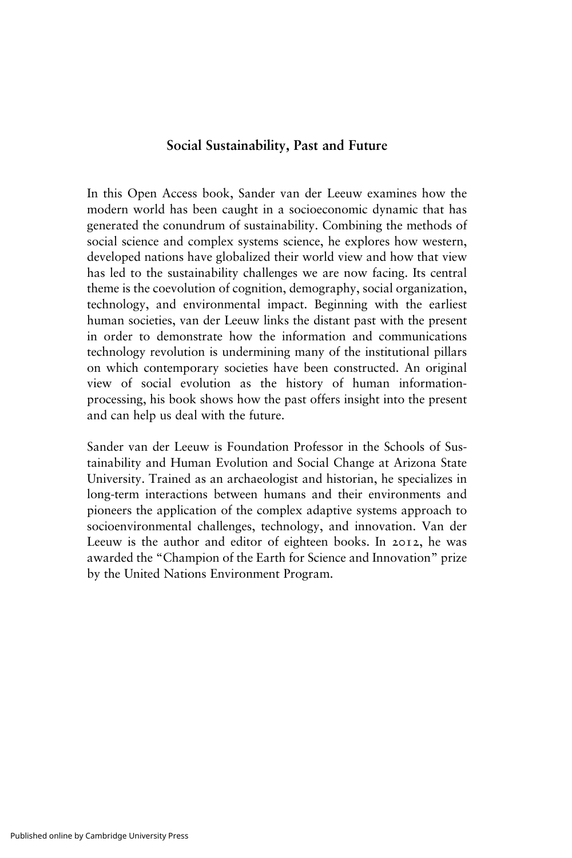### Social Sustainability, Past and Future

In this Open Access book, Sander van der Leeuw examines how the modern world has been caught in a socioeconomic dynamic that has generated the conundrum of sustainability. Combining the methods of social science and complex systems science, he explores how western, developed nations have globalized their world view and how that view has led to the sustainability challenges we are now facing. Its central theme is the coevolution of cognition, demography, social organization, technology, and environmental impact. Beginning with the earliest human societies, van der Leeuw links the distant past with the present in order to demonstrate how the information and communications technology revolution is undermining many of the institutional pillars on which contemporary societies have been constructed. An original view of social evolution as the history of human informationprocessing, his book shows how the past offers insight into the present and can help us deal with the future.

Sander van der Leeuw is Foundation Professor in the Schools of Sustainability and Human Evolution and Social Change at Arizona State University. Trained as an archaeologist and historian, he specializes in long-term interactions between humans and their environments and pioneers the application of the complex adaptive systems approach to socioenvironmental challenges, technology, and innovation. Van der Leeuw is the author and editor of eighteen books. In 2012, he was awarded the "Champion of the Earth for Science and Innovation" prize by the United Nations Environment Program.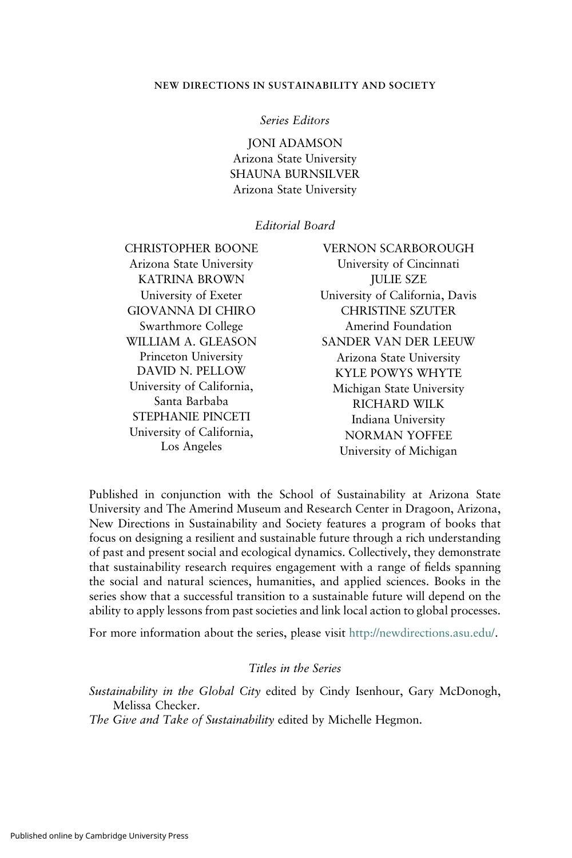#### NEW DIRECTIONS IN SUSTAINABILITY AND SOCIETY

#### Series Editors

JONI ADAMSON Arizona State University SHAUNA BURNSILVER Arizona State University

#### Editorial Board

CHRISTOPHER BOONE Arizona State University KATRINA BROWN University of Exeter GIOVANNA DI CHIRO Swarthmore College WILLIAM A. GLEASON Princeton University DAVID N. PELLOW University of California, Santa Barbaba STEPHANIE PINCETI University of California, Los Angeles

VERNON SCARBOROUGH University of Cincinnati JULIE SZE University of California, Davis CHRISTINE SZUTER Amerind Foundation SANDER VAN DER LEEUW Arizona State University KYLE POWYS WHYTE Michigan State University RICHARD WILK Indiana University NORMAN YOFFEE University of Michigan

Published in conjunction with the School of Sustainability at Arizona State University and The Amerind Museum and Research Center in Dragoon, Arizona, New Directions in Sustainability and Society features a program of books that focus on designing a resilient and sustainable future through a rich understanding of past and present social and ecological dynamics. Collectively, they demonstrate that sustainability research requires engagement with a range of fields spanning the social and natural sciences, humanities, and applied sciences. Books in the series show that a successful transition to a sustainable future will depend on the ability to apply lessons from past societies and link local action to global processes.

For more information about the series, please visit [http://newdirections.asu.edu/.](http://newdirections.asu.edu/)

#### Titles in the Series

Sustainability in the Global City edited by Cindy Isenhour, Gary McDonogh, Melissa Checker.

The Give and Take of Sustainability edited by Michelle Hegmon.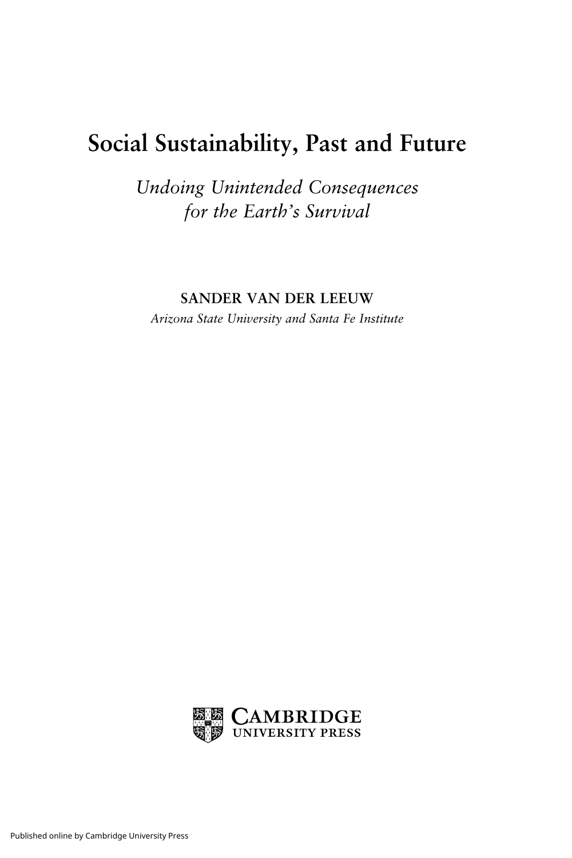## Social Sustainability, Past and Future

Undoing Unintended Consequences for the Earth's Survival

SANDER VAN DER LEEUW

Arizona State University and Santa Fe Institute